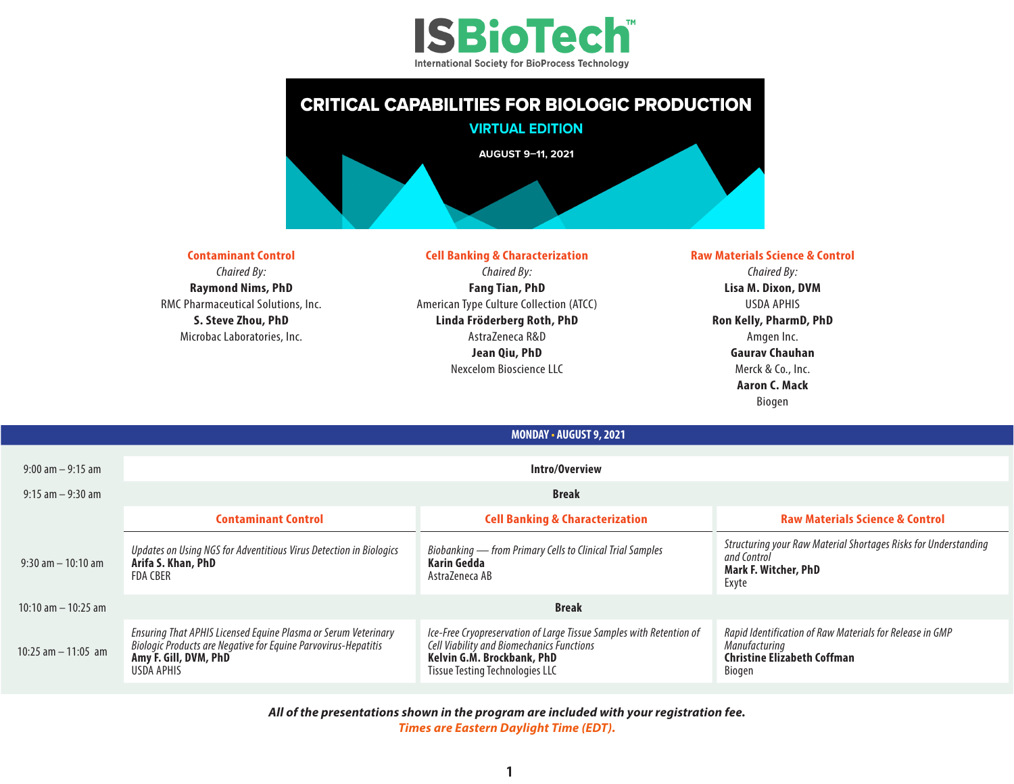



**Contaminant Control** *Chaired By:* **Raymond Nims, PhD** RMC Pharmaceutical Solutions, Inc. **S. Steve Zhou, PhD** Microbac Laboratories, Inc.

## **Cell Banking & Characterization** *Chaired By:*

**Fang Tian, PhD** American Type Culture Collection (ATCC) **Linda Fröderberg Roth, PhD** AstraZeneca R&D **Jean Qiu, PhD** Nexcelom Bioscience LLC

**MONDAY • AUGUST 9, 2021**

## **Raw Materials Science & Control** *Chaired By:* **Lisa M. Dixon, DVM** USDA APHIS **Ron Kelly, PharmD, PhD** Amgen Inc. **Gaurav Chauhan** Merck & Co., Inc. **Aaron C. Mack** Biogen

| $9:00$ am $-9:15$ am   | Intro/Overview                                                                                                                                                                 |                                                                                                                                                                                          |                                                                                                                           |  |  |
|------------------------|--------------------------------------------------------------------------------------------------------------------------------------------------------------------------------|------------------------------------------------------------------------------------------------------------------------------------------------------------------------------------------|---------------------------------------------------------------------------------------------------------------------------|--|--|
| $9:15$ am $-9:30$ am   | Break                                                                                                                                                                          |                                                                                                                                                                                          |                                                                                                                           |  |  |
|                        | <b>Contaminant Control</b>                                                                                                                                                     | <b>Cell Banking &amp; Characterization</b>                                                                                                                                               | <b>Raw Materials Science &amp; Control</b>                                                                                |  |  |
| $9:30$ am $-10:10$ am  | Updates on Using NGS for Adventitious Virus Detection in Biologics<br>Arifa S. Khan, PhD<br><b>FDA CBER</b>                                                                    | Biobanking - from Primary Cells to Clinical Trial Samples<br>Karin Gedda<br>AstraZeneca AB                                                                                               | Structuring your Raw Material Shortages Risks for Understanding<br>and Control<br><b>Mark F. Witcher, PhD</b><br>Exyte    |  |  |
| 10:10 am $-$ 10:25 am  | <b>Break</b>                                                                                                                                                                   |                                                                                                                                                                                          |                                                                                                                           |  |  |
| $10:25$ am $-11:05$ am | Ensuring That APHIS Licensed Equine Plasma or Serum Veterinary<br><b>Biologic Products are Negative for Equine Parvovirus-Hepatitis</b><br>Amy F. Gill, DVM, PhD<br>USDA APHIS | Ice-Free Cryopreservation of Large Tissue Samples with Retention of<br>Cell Viability and Biomechanics Functions<br>Kelvin G.M. Brockbank, PhD<br><b>Tissue Testing Technologies LLC</b> | Rapid Identification of Raw Materials for Release in GMP<br>Manufacturing<br><b>Christine Elizabeth Coffman</b><br>Biogen |  |  |

*All of the presentations shown in the program are included with your registration fee. Times are Eastern Daylight Time (EDT).*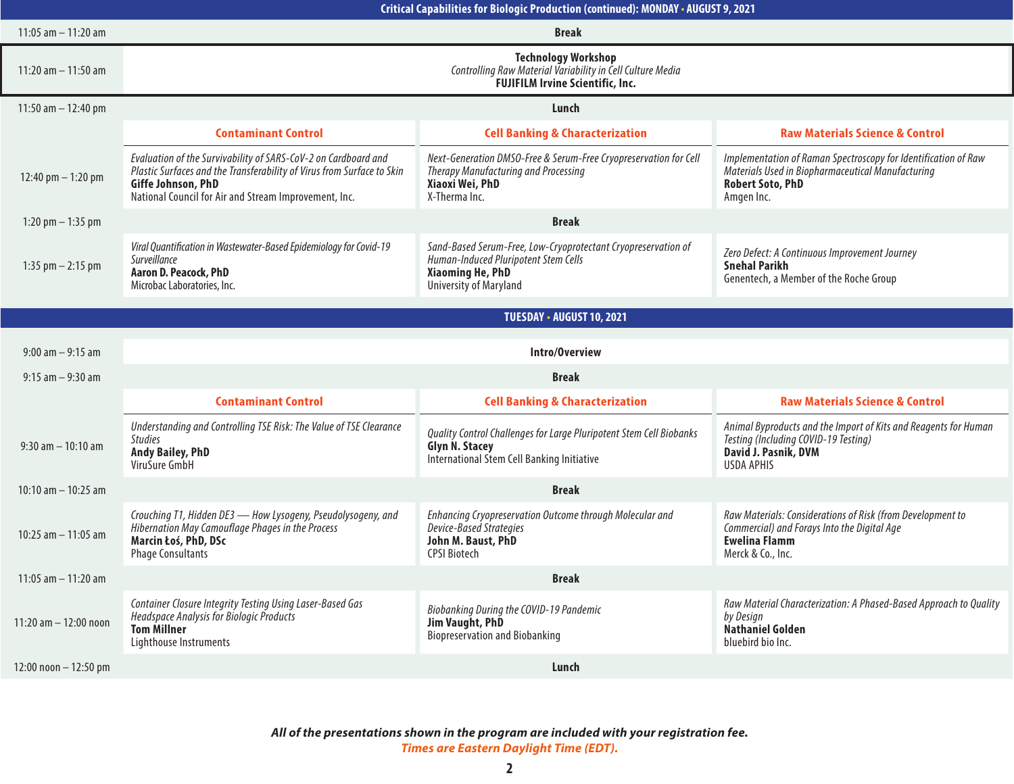| Critical Capabilities for Biologic Production (continued): MONDAY . AUGUST 9, 2021 |                                                                                                                                                                                                                         |                                                                                                                                                            |                                                                                                                                                              |  |  |
|------------------------------------------------------------------------------------|-------------------------------------------------------------------------------------------------------------------------------------------------------------------------------------------------------------------------|------------------------------------------------------------------------------------------------------------------------------------------------------------|--------------------------------------------------------------------------------------------------------------------------------------------------------------|--|--|
| 11:05 $am - 11:20 am$                                                              | <b>Break</b>                                                                                                                                                                                                            |                                                                                                                                                            |                                                                                                                                                              |  |  |
| 11:20 am $-$ 11:50 am                                                              | <b>Technology Workshop</b><br>Controlling Raw Material Variability in Cell Culture Media<br><b>FUJIFILM Irvine Scientific, Inc.</b>                                                                                     |                                                                                                                                                            |                                                                                                                                                              |  |  |
| 11:50 am $-$ 12:40 pm                                                              | Lunch                                                                                                                                                                                                                   |                                                                                                                                                            |                                                                                                                                                              |  |  |
|                                                                                    | <b>Contaminant Control</b>                                                                                                                                                                                              | <b>Cell Banking &amp; Characterization</b>                                                                                                                 | <b>Raw Materials Science &amp; Control</b>                                                                                                                   |  |  |
| 12:40 pm $-$ 1:20 pm                                                               | Evaluation of the Survivability of SARS-CoV-2 on Cardboard and<br>Plastic Surfaces and the Transferability of Virus from Surface to Skin<br>Giffe Johnson, PhD<br>National Council for Air and Stream Improvement, Inc. | Next-Generation DMSO-Free & Serum-Free Cryopreservation for Cell<br>Therapy Manufacturing and Processing<br>Xiaoxi Wei, PhD<br>X-Therma Inc.               | Implementation of Raman Spectroscopy for Identification of Raw<br>Materials Used in Biopharmaceutical Manufacturing<br><b>Robert Soto, PhD</b><br>Amgen Inc. |  |  |
| 1:20 pm $-$ 1:35 pm                                                                | <b>Break</b>                                                                                                                                                                                                            |                                                                                                                                                            |                                                                                                                                                              |  |  |
| 1:35 pm $-$ 2:15 pm                                                                | Viral Quantification in Wastewater-Based Epidemiology for Covid-19<br>Surveillance<br>Aaron D. Peacock, PhD<br>Microbac Laboratories, Inc.                                                                              | Sand-Based Serum-Free, Low-Cryoprotectant Cryopreservation of<br>Human-Induced Pluripotent Stem Cells<br><b>Xiaoming He, PhD</b><br>University of Maryland | Zero Defect: A Continuous Improvement Journey<br><b>Snehal Parikh</b><br>Genentech, a Member of the Roche Group                                              |  |  |
|                                                                                    |                                                                                                                                                                                                                         |                                                                                                                                                            |                                                                                                                                                              |  |  |
|                                                                                    |                                                                                                                                                                                                                         | TUESDAY - AUGUST 10, 2021                                                                                                                                  |                                                                                                                                                              |  |  |
| $9:00$ am $-9:15$ am                                                               | Intro/Overview                                                                                                                                                                                                          |                                                                                                                                                            |                                                                                                                                                              |  |  |
| $9:15$ am $-9:30$ am                                                               | <b>Break</b>                                                                                                                                                                                                            |                                                                                                                                                            |                                                                                                                                                              |  |  |
|                                                                                    | <b>Contaminant Control</b>                                                                                                                                                                                              | <b>Cell Banking &amp; Characterization</b>                                                                                                                 | <b>Raw Materials Science &amp; Control</b>                                                                                                                   |  |  |
| $9:30$ am $-10:10$ am                                                              | Understanding and Controlling TSE Risk: The Value of TSE Clearance<br><b>Studies</b><br><b>Andy Bailey, PhD</b><br>ViruSure GmbH                                                                                        | Quality Control Challenges for Large Pluripotent Stem Cell Biobanks<br><b>Glyn N. Stacey</b><br>International Stem Cell Banking Initiative                 | Animal Byproducts and the Import of Kits and Reagents for Human<br>Testing (Including COVID-19 Testing)<br>David J. Pasnik, DVM<br><b>USDA APHIS</b>         |  |  |
| 10:10 am $-$ 10:25 am                                                              | <b>Break</b>                                                                                                                                                                                                            |                                                                                                                                                            |                                                                                                                                                              |  |  |
| 10:25 am $-$ 11:05 am                                                              | Crouching T1, Hidden DE3 - How Lysogeny, Pseudolysogeny, and<br>Hibernation May Camouflage Phages in the Process<br>Marcin Łoś, PhD, DSc<br><b>Phage Consultants</b>                                                    | Enhancing Cryopreservation Outcome through Molecular and<br>Device-Based Strategies<br>John M. Baust, PhD<br><b>CPSI Biotech</b>                           | Raw Materials: Considerations of Risk (from Development to<br>Commercial) and Forays Into the Digital Age<br><b>Ewelina Flamm</b><br>Merck & Co., Inc.       |  |  |
| $11:05$ am $-11:20$ am                                                             | <b>Break</b>                                                                                                                                                                                                            |                                                                                                                                                            |                                                                                                                                                              |  |  |
| 11:20 am $-$ 12:00 noon                                                            | Container Closure Integrity Testing Using Laser-Based Gas<br>Headspace Analysis for Biologic Products<br><b>Tom Millner</b><br>Lighthouse Instruments                                                                   | Biobanking During the COVID-19 Pandemic<br>Jim Vaught, PhD<br><b>Biopreservation and Biobanking</b>                                                        | Raw Material Characterization: A Phased-Based Approach to Quality<br>by Design<br><b>Nathaniel Golden</b><br>bluebird bio Inc.                               |  |  |
| $12:00$ noon $-12:50$ pm                                                           |                                                                                                                                                                                                                         | Lunch                                                                                                                                                      |                                                                                                                                                              |  |  |

*All of the presentations shown in the program are included with your registration fee. Times are Eastern Daylight Time (EDT).*